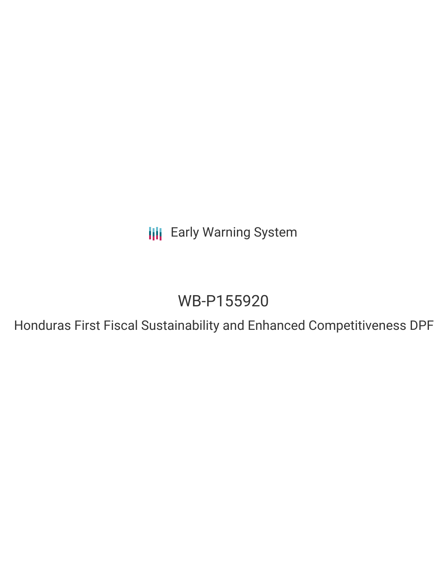**III** Early Warning System

# WB-P155920

Honduras First Fiscal Sustainability and Enhanced Competitiveness DPF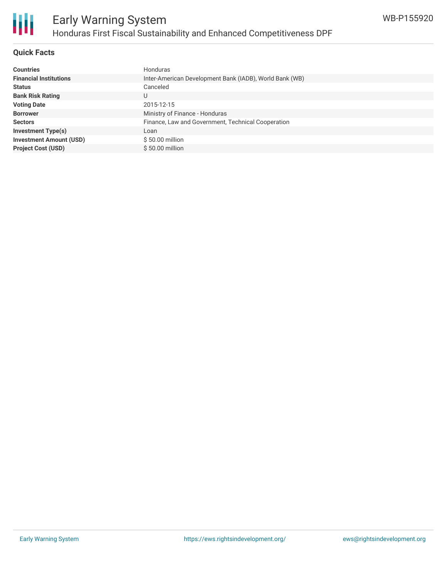

## **Quick Facts**

| <b>Countries</b>               | Honduras                                                |
|--------------------------------|---------------------------------------------------------|
| <b>Financial Institutions</b>  | Inter-American Development Bank (IADB), World Bank (WB) |
| <b>Status</b>                  | Canceled                                                |
| <b>Bank Risk Rating</b>        | U                                                       |
| <b>Voting Date</b>             | 2015-12-15                                              |
| <b>Borrower</b>                | Ministry of Finance - Honduras                          |
| <b>Sectors</b>                 | Finance, Law and Government, Technical Cooperation      |
| <b>Investment Type(s)</b>      | Loan                                                    |
| <b>Investment Amount (USD)</b> | \$50.00 million                                         |
| <b>Project Cost (USD)</b>      | $$50.00$ million                                        |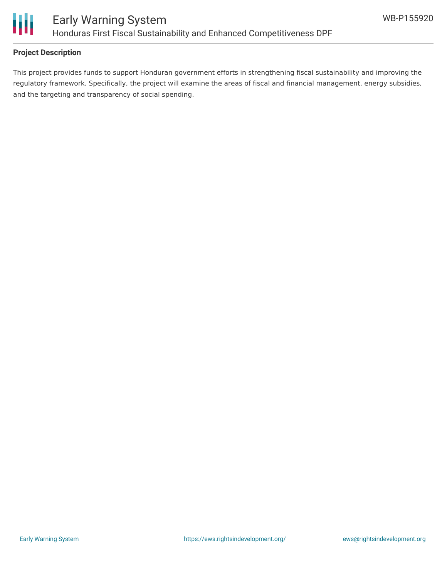

## **Project Description**

This project provides funds to support Honduran government efforts in strengthening fiscal sustainability and improving the regulatory framework. Specifically, the project will examine the areas of fiscal and financial management, energy subsidies, and the targeting and transparency of social spending.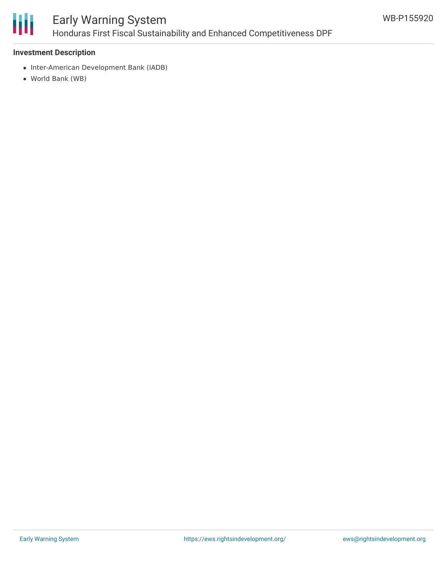

# Early Warning System Honduras First Fiscal Sustainability and Enhanced Competitiveness DPF

#### **Investment Description**

- Inter-American Development Bank (IADB)
- World Bank (WB)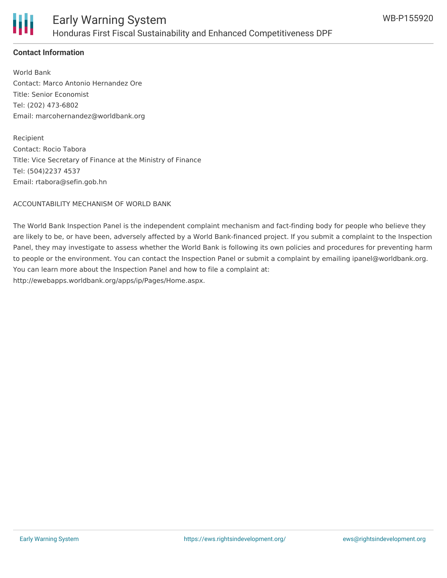

## **Contact Information**

World Bank Contact: Marco Antonio Hernandez Ore Title: Senior Economist Tel: (202) 473-6802 Email: marcohernandez@worldbank.org

Recipient Contact: Rocio Tabora Title: Vice Secretary of Finance at the Ministry of Finance Tel: (504)2237 4537 Email: rtabora@sefin.gob.hn

ACCOUNTABILITY MECHANISM OF WORLD BANK

The World Bank Inspection Panel is the independent complaint mechanism and fact-finding body for people who believe they are likely to be, or have been, adversely affected by a World Bank-financed project. If you submit a complaint to the Inspection Panel, they may investigate to assess whether the World Bank is following its own policies and procedures for preventing harm to people or the environment. You can contact the Inspection Panel or submit a complaint by emailing ipanel@worldbank.org. You can learn more about the Inspection Panel and how to file a complaint at: http://ewebapps.worldbank.org/apps/ip/Pages/Home.aspx.